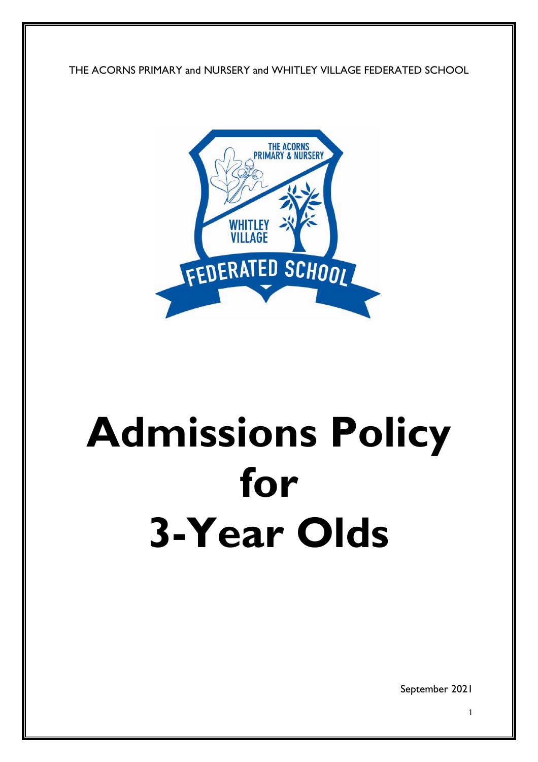THE ACORNS PRIMARY and NURSERY and WHITLEY VILLAGE FEDERATED SCHOOL



## **Admissions Policy for 3-Year Olds**

September 2021